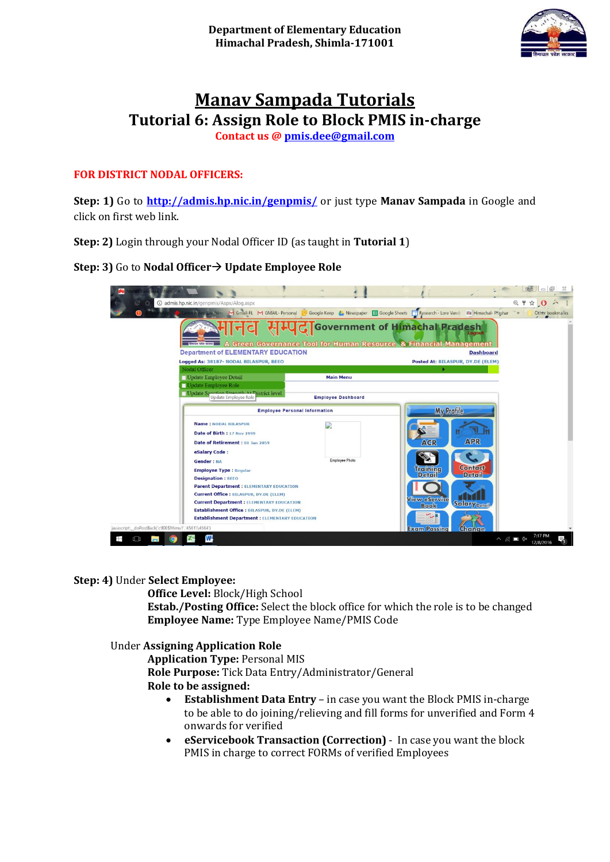

# **Manav Sampada Tutorials Tutorial 6: Assign Role to Block PMIS in-charge**

**Contact us [@ pmis.dee@gmail.com](mailto:pmis.dee@gmail.com)**

## **FOR DISTRICT NODAL OFFICERS:**

**Step: 1)** Go to **<http://admis.hp.nic.in/genpmis/>** or just type **Manav Sampada** in Google and click on first web link.

**Step: 2)** Login through your Nodal Officer ID (as taught in **Tutorial 1**)

**Step: 3)** Go to **Nodal Officer Update Employee Role**



#### **Step: 4)** Under **Select Employee:**

**Office Level:** Block/High School **Estab./Posting Office:** Select the block office for which the role is to be changed **Employee Name:** Type Employee Name/PMIS Code

## Under **Assigning Application Role**

**Application Type:** Personal MIS **Role Purpose:** Tick Data Entry/Administrator/General **Role to be assigned:**

- **Establishment Data Entry** in case you want the Block PMIS in-charge to be able to do joining/relieving and fill forms for unverified and Form 4 onwards for verified
- **eServicebook Transaction (Correction)** In case you want the block PMIS in charge to correct FORMs of verified Employees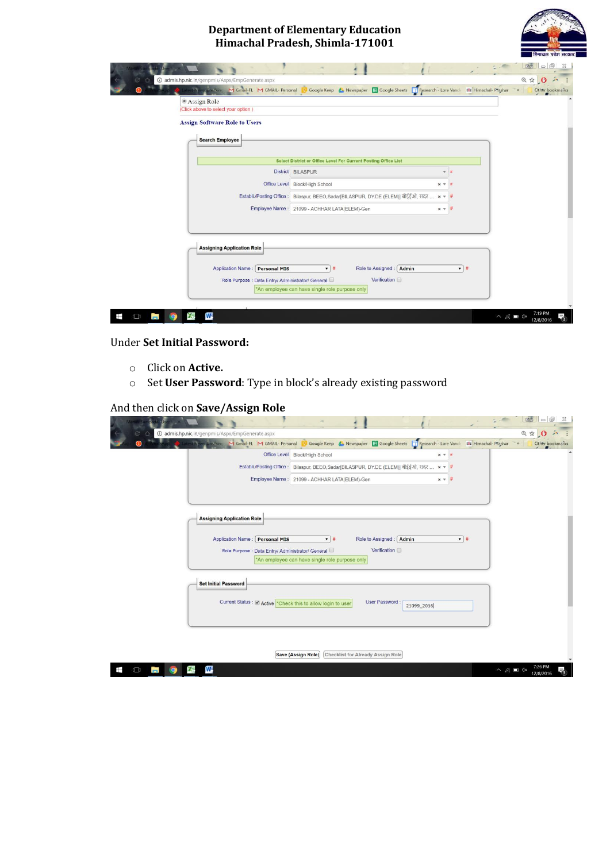## **Department of Elementary Education Himachal Pradesh, Shimla-171001**



| <sup>●</sup> Assign Role                          |                                                                 |                   |                |
|---------------------------------------------------|-----------------------------------------------------------------|-------------------|----------------|
| (Click above to select your option)               |                                                                 |                   |                |
| <b>Assign Software Role to Users</b>              |                                                                 |                   |                |
| <b>Search Employee</b>                            |                                                                 |                   |                |
|                                                   |                                                                 |                   |                |
|                                                   | Select District or Office Level For Current Posting Office List |                   |                |
|                                                   | District BILASPUR                                               | ÷                 |                |
| Office Level                                      | <b>Block/High School</b>                                        | $\times$ $\times$ |                |
| Establi./Posting Office:                          | Bilaspur, BEEO,Sadar[BILASPUR, DY.DE (ELEM)] बीईईओ, सदर         | $x = #$           |                |
|                                                   | Employee Name: 21099 - ACHHAR LATA(ELEM)-Gen                    | $x = 7$           |                |
|                                                   |                                                                 |                   |                |
|                                                   |                                                                 |                   |                |
|                                                   |                                                                 |                   |                |
| <b>Assigning Application Role</b>                 |                                                                 |                   |                |
| <b>Application Name : Personal MIS</b>            | Role to Assigned :   Admin<br>$\mathbf{v}$ #                    |                   | $\mathbf{v}$ # |
|                                                   | Verification                                                    |                   |                |
| Role Purpose : Data Entry/ Administrator/ General |                                                                 |                   |                |

### Under **Set Initial Password:**

- o Click on **Active.**
- o Set **User Password**: Type in block's already existing password

### And then click on **Save/Assign Role**

|                                                             |                                                                                          | 同<br>助词<br>53<br>$\equiv$                               |
|-------------------------------------------------------------|------------------------------------------------------------------------------------------|---------------------------------------------------------|
| @ admis.hp.nic.in/genpmis/Aspx/EmpGenerate.aspx             |                                                                                          | 日立 0 六                                                  |
| Latest News, Breaking M Gmail-FL M GMAIL- Personal          | Google Keep & Newspaper E Google Sheets Research - Lore Vande                            | <b>WW Himachal- Prashar</b><br>$-32$<br>Other bookmarks |
| Office Level                                                | <b>Block/High School</b>                                                                 | $x - 4$                                                 |
|                                                             | Establi./Posting Office: Bilaspur, BEEO, Sadar[BILASPUR, DY.DE (ELEM)] बीईईओ, सदर  × + # |                                                         |
|                                                             | Employee Name: 21099 - ACHHAR LATA(ELEM)-Gen                                             | $x = #$                                                 |
|                                                             |                                                                                          |                                                         |
|                                                             |                                                                                          |                                                         |
|                                                             |                                                                                          |                                                         |
| <b>Assigning Application Role</b>                           |                                                                                          |                                                         |
|                                                             |                                                                                          |                                                         |
| Application Name:<br><b>Personal MIS</b>                    | Role to Assigned: Admin<br>$\mathbf{v}$ #                                                | $\mathbf{v}$ #                                          |
| Role Purpose : Data Entry/ Administrator/ General           | Verification                                                                             |                                                         |
|                                                             | *An employee can have single role purpose only                                           |                                                         |
|                                                             |                                                                                          |                                                         |
| <b>Set Initial Password</b>                                 |                                                                                          |                                                         |
|                                                             |                                                                                          |                                                         |
| Current Status : Ø Active Check this to allow login to user | <b>User Password:</b><br>21099_2016                                                      |                                                         |
|                                                             |                                                                                          |                                                         |
|                                                             |                                                                                          |                                                         |
|                                                             |                                                                                          |                                                         |
|                                                             |                                                                                          |                                                         |
|                                                             | Save (Assign Role)<br><b>Checklist for Already Assign Role</b>                           |                                                         |
| W.<br>⊞<br>$\Box$                                           |                                                                                          | $\wedge$ 6 $\blacksquare$ $\triangle$<br>12/8/2016      |